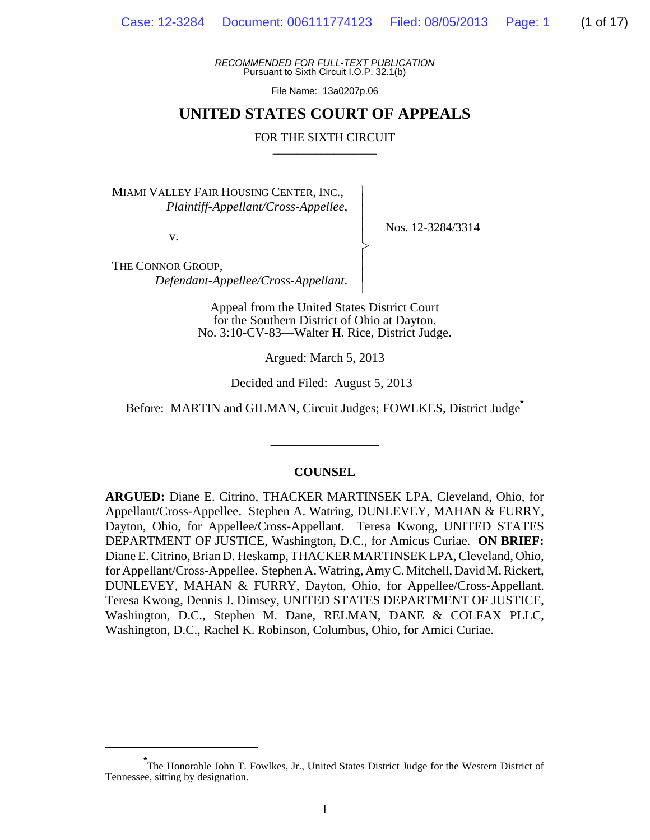$\overline{\phantom{a}}$ - - - > , - - N

*RECOMMENDED FOR FULL-TEXT PUBLICATION* Pursuant to Sixth Circuit I.O.P. 32.1(b)

File Name: 13a0207p.06

## **UNITED STATES COURT OF APPEALS**

#### FOR THE SIXTH CIRCUIT

MIAMI VALLEY FAIR HOUSING CENTER, INC., *Plaintiff-Appellant/Cross-Appellee*,

v.

Nos. 12-3284/3314

THE CONNOR GROUP, *Defendant-Appellee/Cross-Appellant*.

> Appeal from the United States District Court for the Southern District of Ohio at Dayton. No. 3:10-CV-83—Walter H. Rice, District Judge.

> > Argued: March 5, 2013

Decided and Filed: August 5, 2013

Before: MARTIN and GILMAN, Circuit Judges; FOWLKES, District Judge**\***

\_\_\_\_\_\_\_\_\_\_\_\_\_\_\_\_\_

#### **COUNSEL**

**ARGUED:** Diane E. Citrino, THACKER MARTINSEK LPA, Cleveland, Ohio, for Appellant/Cross-Appellee. Stephen A. Watring, DUNLEVEY, MAHAN & FURRY, Dayton, Ohio, for Appellee/Cross-Appellant. Teresa Kwong, UNITED STATES DEPARTMENT OF JUSTICE, Washington, D.C., for Amicus Curiae. **ON BRIEF:** Diane E. Citrino, Brian D. Heskamp, THACKER MARTINSEK LPA, Cleveland, Ohio, for Appellant/Cross-Appellee. Stephen A. Watring, Amy C. Mitchell, David M. Rickert, DUNLEVEY, MAHAN & FURRY, Dayton, Ohio, for Appellee/Cross-Appellant. Teresa Kwong, Dennis J. Dimsey, UNITED STATES DEPARTMENT OF JUSTICE, Washington, D.C., Stephen M. Dane, RELMAN, DANE & COLFAX PLLC, Washington, D.C., Rachel K. Robinson, Columbus, Ohio, for Amici Curiae.

<sup>\*&</sup>lt;br>The Honorable John T. Fowlkes, Jr., United States District Judge for the Western District of Tennessee, sitting by designation.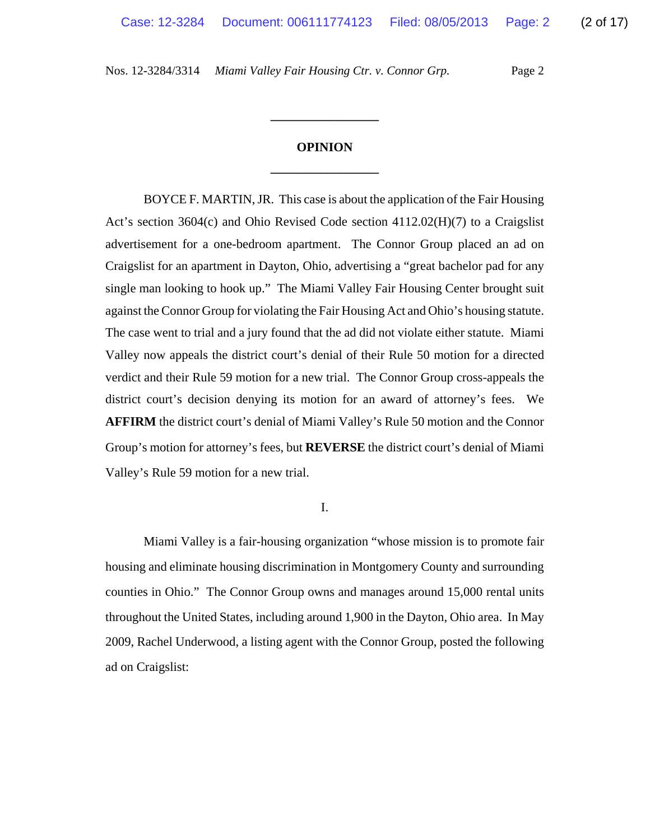# **OPINION \_\_\_\_\_\_\_\_\_\_\_\_\_\_\_\_\_**

**\_\_\_\_\_\_\_\_\_\_\_\_\_\_\_\_\_**

BOYCE F. MARTIN, JR. This case is about the application of the Fair Housing Act's section 3604(c) and Ohio Revised Code section 4112.02(H)(7) to a Craigslist advertisement for a one-bedroom apartment. The Connor Group placed an ad on Craigslist for an apartment in Dayton, Ohio, advertising a "great bachelor pad for any single man looking to hook up." The Miami Valley Fair Housing Center brought suit against the Connor Group for violating the Fair Housing Act and Ohio's housing statute. The case went to trial and a jury found that the ad did not violate either statute. Miami Valley now appeals the district court's denial of their Rule 50 motion for a directed verdict and their Rule 59 motion for a new trial. The Connor Group cross-appeals the district court's decision denying its motion for an award of attorney's fees. We **AFFIRM** the district court's denial of Miami Valley's Rule 50 motion and the Connor Group's motion for attorney's fees, but **REVERSE** the district court's denial of Miami Valley's Rule 59 motion for a new trial.

I.

Miami Valley is a fair-housing organization "whose mission is to promote fair housing and eliminate housing discrimination in Montgomery County and surrounding counties in Ohio." The Connor Group owns and manages around 15,000 rental units throughout the United States, including around 1,900 in the Dayton, Ohio area. In May 2009, Rachel Underwood, a listing agent with the Connor Group, posted the following ad on Craigslist: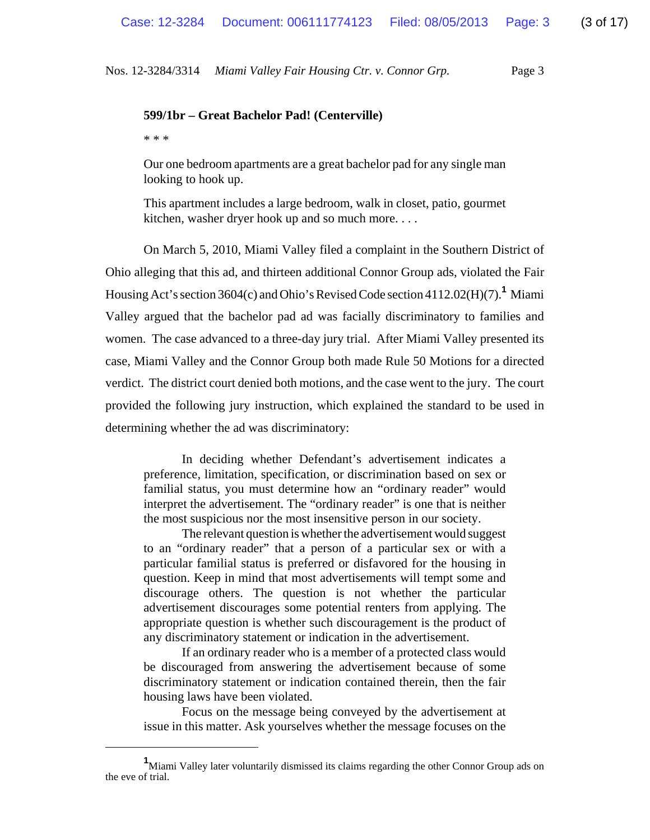### **599/1br – Great Bachelor Pad! (Centerville)**

\* \* \*

Our one bedroom apartments are a great bachelor pad for any single man looking to hook up.

This apartment includes a large bedroom, walk in closet, patio, gourmet kitchen, washer dryer hook up and so much more. . . .

On March 5, 2010, Miami Valley filed a complaint in the Southern District of Ohio alleging that this ad, and thirteen additional Connor Group ads, violated the Fair Housing Act's section 3604(c) and Ohio's Revised Code section 4112.02(H)(7).**<sup>1</sup>** Miami Valley argued that the bachelor pad ad was facially discriminatory to families and women. The case advanced to a three-day jury trial. After Miami Valley presented its case, Miami Valley and the Connor Group both made Rule 50 Motions for a directed verdict. The district court denied both motions, and the case went to the jury. The court provided the following jury instruction, which explained the standard to be used in determining whether the ad was discriminatory:

In deciding whether Defendant's advertisement indicates a preference, limitation, specification, or discrimination based on sex or familial status, you must determine how an "ordinary reader" would interpret the advertisement. The "ordinary reader" is one that is neither the most suspicious nor the most insensitive person in our society.

The relevant question is whether the advertisement would suggest to an "ordinary reader" that a person of a particular sex or with a particular familial status is preferred or disfavored for the housing in question. Keep in mind that most advertisements will tempt some and discourage others. The question is not whether the particular advertisement discourages some potential renters from applying. The appropriate question is whether such discouragement is the product of any discriminatory statement or indication in the advertisement.

If an ordinary reader who is a member of a protected class would be discouraged from answering the advertisement because of some discriminatory statement or indication contained therein, then the fair housing laws have been violated.

Focus on the message being conveyed by the advertisement at issue in this matter. Ask yourselves whether the message focuses on the

**<sup>1</sup>** Miami Valley later voluntarily dismissed its claims regarding the other Connor Group ads on the eve of trial.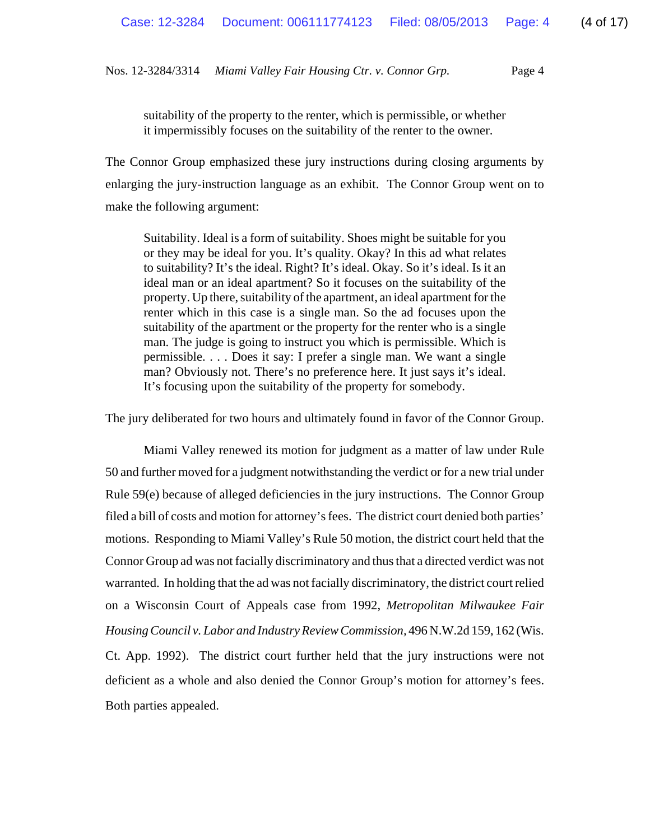suitability of the property to the renter, which is permissible, or whether it impermissibly focuses on the suitability of the renter to the owner.

The Connor Group emphasized these jury instructions during closing arguments by enlarging the jury-instruction language as an exhibit. The Connor Group went on to make the following argument:

Suitability. Ideal is a form of suitability. Shoes might be suitable for you or they may be ideal for you. It's quality. Okay? In this ad what relates to suitability? It's the ideal. Right? It's ideal. Okay. So it's ideal. Is it an ideal man or an ideal apartment? So it focuses on the suitability of the property. Up there, suitability of the apartment, an ideal apartment for the renter which in this case is a single man. So the ad focuses upon the suitability of the apartment or the property for the renter who is a single man. The judge is going to instruct you which is permissible. Which is permissible. . . . Does it say: I prefer a single man. We want a single man? Obviously not. There's no preference here. It just says it's ideal. It's focusing upon the suitability of the property for somebody.

The jury deliberated for two hours and ultimately found in favor of the Connor Group.

Miami Valley renewed its motion for judgment as a matter of law under Rule 50 and further moved for a judgment notwithstanding the verdict or for a new trial under Rule 59(e) because of alleged deficiencies in the jury instructions. The Connor Group filed a bill of costs and motion for attorney's fees. The district court denied both parties' motions. Responding to Miami Valley's Rule 50 motion, the district court held that the Connor Group ad was not facially discriminatory and thus that a directed verdict was not warranted. In holding that the ad was not facially discriminatory, the district court relied on a Wisconsin Court of Appeals case from 1992, *Metropolitan Milwaukee Fair Housing Council v. Labor and Industry Review Commission,* 496 N.W.2d 159, 162 (Wis. Ct. App. 1992). The district court further held that the jury instructions were not deficient as a whole and also denied the Connor Group's motion for attorney's fees. Both parties appealed.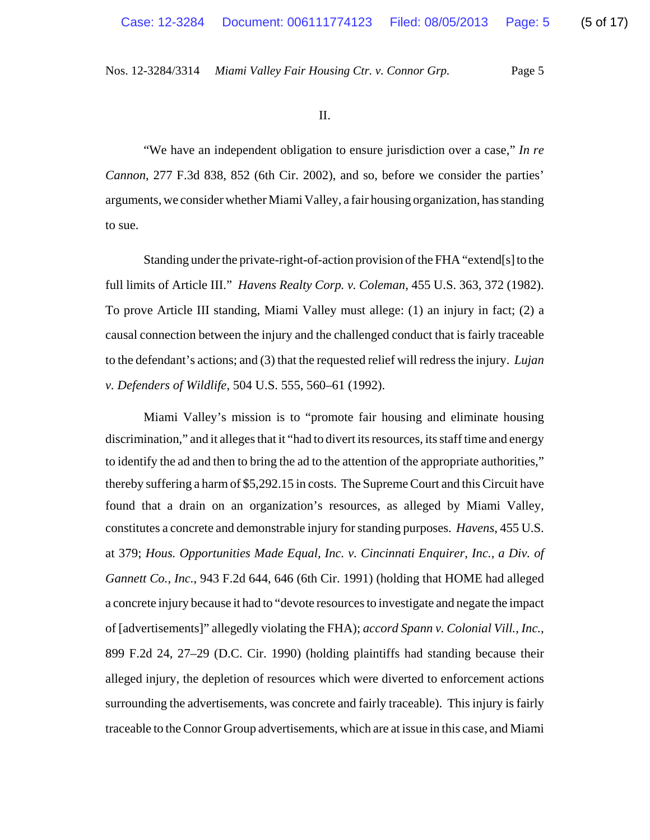#### II.

"We have an independent obligation to ensure jurisdiction over a case," *In re Cannon*, 277 F.3d 838, 852 (6th Cir. 2002), and so, before we consider the parties' arguments, we consider whether Miami Valley, a fair housing organization, has standing to sue.

Standing under the private-right-of-action provision of the FHA "extend[s] to the full limits of Article III." *Havens Realty Corp. v. Coleman*, 455 U.S. 363, 372 (1982). To prove Article III standing, Miami Valley must allege: (1) an injury in fact; (2) a causal connection between the injury and the challenged conduct that is fairly traceable to the defendant's actions; and (3) that the requested relief will redress the injury. *Lujan v. Defenders of Wildlife*, 504 U.S. 555, 560–61 (1992).

Miami Valley's mission is to "promote fair housing and eliminate housing discrimination," and it alleges that it "had to divert its resources, its staff time and energy to identify the ad and then to bring the ad to the attention of the appropriate authorities," thereby suffering a harm of \$5,292.15 in costs. The Supreme Court and this Circuit have found that a drain on an organization's resources, as alleged by Miami Valley, constitutes a concrete and demonstrable injury for standing purposes. *Havens*, 455 U.S. at 379; *Hous. Opportunities Made Equal, Inc. v. Cincinnati Enquirer, Inc., a Div. of Gannett Co., Inc.*, 943 F.2d 644, 646 (6th Cir. 1991) (holding that HOME had alleged a concrete injury because it had to "devote resources to investigate and negate the impact of [advertisements]" allegedly violating the FHA); *accord Spann v. Colonial Vill., Inc.*, 899 F.2d 24, 27–29 (D.C. Cir. 1990) (holding plaintiffs had standing because their alleged injury, the depletion of resources which were diverted to enforcement actions surrounding the advertisements, was concrete and fairly traceable). This injury is fairly traceable to the Connor Group advertisements, which are at issue in this case, and Miami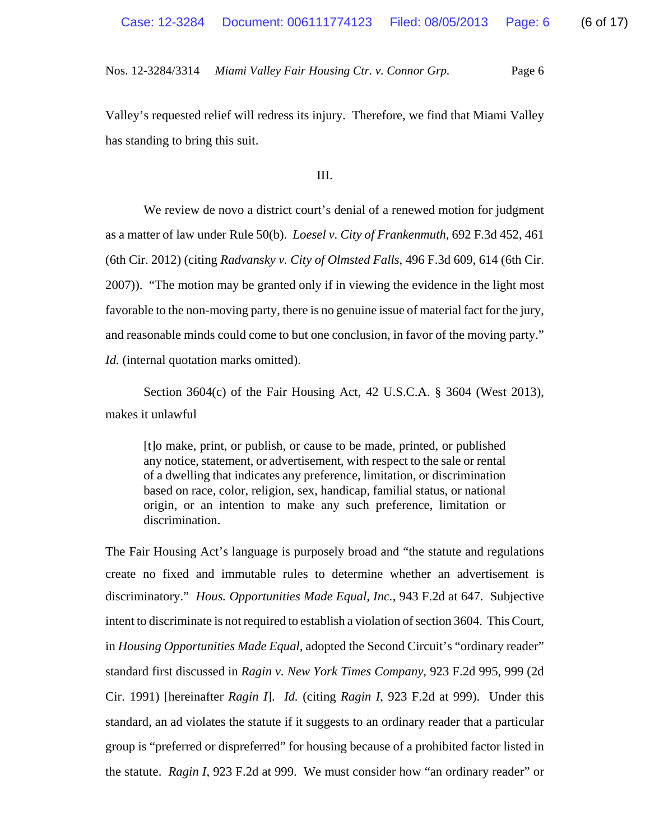Valley's requested relief will redress its injury. Therefore, we find that Miami Valley has standing to bring this suit.

III.

We review de novo a district court's denial of a renewed motion for judgment as a matter of law under Rule 50(b). *Loesel v. City of Frankenmuth*, 692 F.3d 452, 461 (6th Cir. 2012) (citing *Radvansky v. City of Olmsted Falls*, 496 F.3d 609, 614 (6th Cir. 2007)). "The motion may be granted only if in viewing the evidence in the light most favorable to the non-moving party, there is no genuine issue of material fact for the jury, and reasonable minds could come to but one conclusion, in favor of the moving party." *Id.* (internal quotation marks omitted).

Section 3604(c) of the Fair Housing Act, 42 U.S.C.A. § 3604 (West 2013), makes it unlawful

[t]o make, print, or publish, or cause to be made, printed, or published any notice, statement, or advertisement, with respect to the sale or rental of a dwelling that indicates any preference, limitation, or discrimination based on race, color, religion, sex, handicap, familial status, or national origin, or an intention to make any such preference, limitation or discrimination.

The Fair Housing Act's language is purposely broad and "the statute and regulations create no fixed and immutable rules to determine whether an advertisement is discriminatory." *Hous. Opportunities Made Equal, Inc.*, 943 F.2d at 647. Subjective intent to discriminate is not required to establish a violation of section 3604. This Court, in *Housing Opportunities Made Equal*, adopted the Second Circuit's "ordinary reader" standard first discussed in *Ragin v. New York Times Company*, 923 F.2d 995, 999 (2d Cir. 1991) [hereinafter *Ragin I*]. *Id.* (citing *Ragin I*, 923 F.2d at 999). Under this standard, an ad violates the statute if it suggests to an ordinary reader that a particular group is "preferred or dispreferred" for housing because of a prohibited factor listed in the statute. *Ragin I*, 923 F.2d at 999. We must consider how "an ordinary reader" or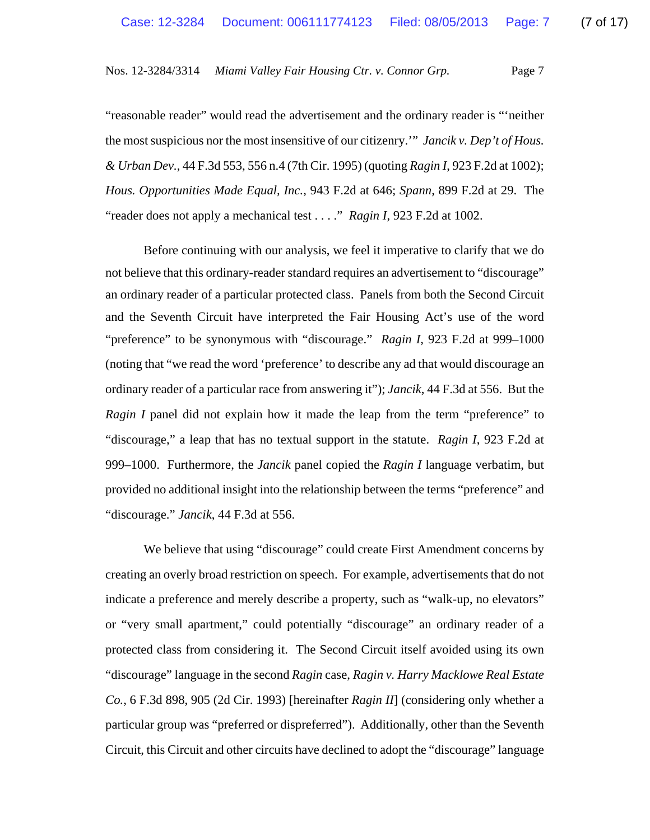"reasonable reader" would read the advertisement and the ordinary reader is "'neither the most suspicious nor the most insensitive of our citizenry.'" *Jancik v. Dep't of Hous. & Urban Dev.*, 44 F.3d 553, 556 n.4 (7th Cir. 1995) (quoting *Ragin I*, 923 F.2d at 1002); *Hous. Opportunities Made Equal, Inc.*, 943 F.2d at 646; *Spann*, 899 F.2d at 29. The "reader does not apply a mechanical test . . . ." *Ragin I*, 923 F.2d at 1002.

Before continuing with our analysis, we feel it imperative to clarify that we do not believe that this ordinary-reader standard requires an advertisement to "discourage" an ordinary reader of a particular protected class. Panels from both the Second Circuit and the Seventh Circuit have interpreted the Fair Housing Act's use of the word "preference" to be synonymous with "discourage." *Ragin I*, 923 F.2d at 999–1000 (noting that "we read the word 'preference' to describe any ad that would discourage an ordinary reader of a particular race from answering it"); *Jancik*, 44 F.3d at 556. But the *Ragin I* panel did not explain how it made the leap from the term "preference" to "discourage," a leap that has no textual support in the statute. *Ragin I*, 923 F.2d at 999–1000. Furthermore, the *Jancik* panel copied the *Ragin I* language verbatim, but provided no additional insight into the relationship between the terms "preference" and "discourage." *Jancik*, 44 F.3d at 556.

We believe that using "discourage" could create First Amendment concerns by creating an overly broad restriction on speech. For example, advertisements that do not indicate a preference and merely describe a property, such as "walk-up, no elevators" or "very small apartment," could potentially "discourage" an ordinary reader of a protected class from considering it. The Second Circuit itself avoided using its own "discourage" language in the second *Ragin* case, *Ragin v. Harry Macklowe Real Estate Co.*, 6 F.3d 898, 905 (2d Cir. 1993) [hereinafter *Ragin II*] (considering only whether a particular group was "preferred or dispreferred").Additionally, other than the Seventh Circuit, this Circuit and other circuits have declined to adopt the "discourage" language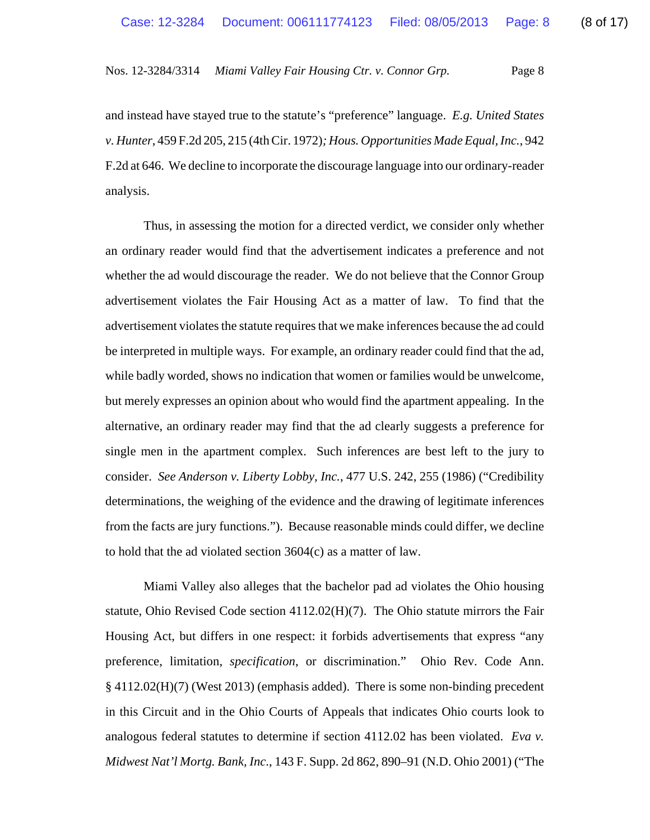and instead have stayed true to the statute's "preference" language. *E.g. United States v. Hunter*, 459 F.2d 205, 215 (4th Cir. 1972)*; Hous. Opportunities Made Equal, Inc.*, 942 F.2d at 646. We decline to incorporate the discourage language into our ordinary-reader analysis.

Thus, in assessing the motion for a directed verdict, we consider only whether an ordinary reader would find that the advertisement indicates a preference and not whether the ad would discourage the reader. We do not believe that the Connor Group advertisement violates the Fair Housing Act as a matter of law. To find that the advertisement violates the statute requires that we make inferences because the ad could be interpreted in multiple ways. For example, an ordinary reader could find that the ad, while badly worded, shows no indication that women or families would be unwelcome, but merely expresses an opinion about who would find the apartment appealing. In the alternative, an ordinary reader may find that the ad clearly suggests a preference for single men in the apartment complex. Such inferences are best left to the jury to consider. *See Anderson v. Liberty Lobby, Inc.*, 477 U.S. 242, 255 (1986) ("Credibility determinations, the weighing of the evidence and the drawing of legitimate inferences from the facts are jury functions."). Because reasonable minds could differ, we decline to hold that the ad violated section 3604(c) as a matter of law.

Miami Valley also alleges that the bachelor pad ad violates the Ohio housing statute, Ohio Revised Code section 4112.02(H)(7). The Ohio statute mirrors the Fair Housing Act, but differs in one respect: it forbids advertisements that express "any preference, limitation, *specification*, or discrimination." Ohio Rev. Code Ann. § 4112.02(H)(7) (West 2013) (emphasis added). There is some non-binding precedent in this Circuit and in the Ohio Courts of Appeals that indicates Ohio courts look to analogous federal statutes to determine if section 4112.02 has been violated. *Eva v. Midwest Nat'l Mortg. Bank, Inc*., 143 F. Supp. 2d 862, 890–91 (N.D. Ohio 2001) ("The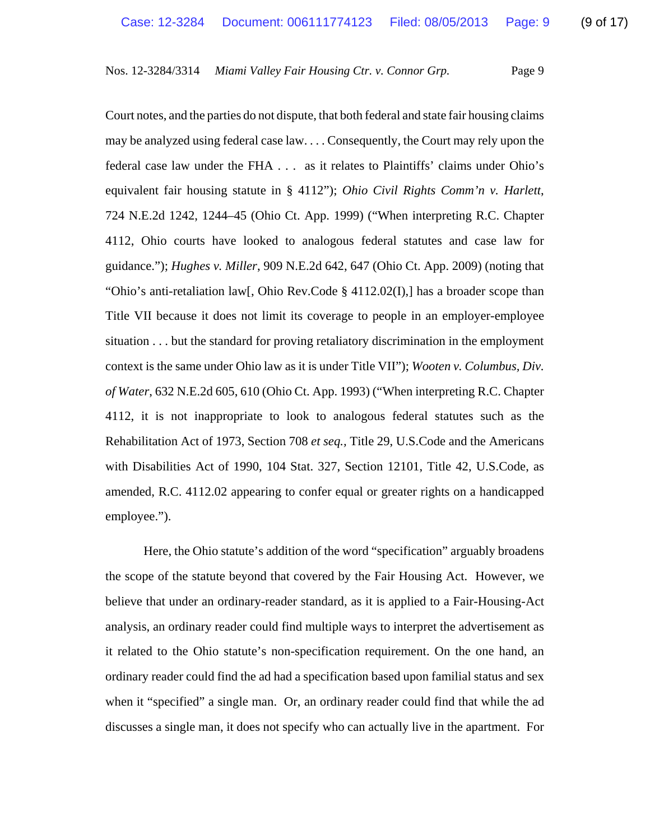Court notes, and the parties do not dispute, that both federal and state fair housing claims may be analyzed using federal case law. . . . Consequently, the Court may rely upon the federal case law under the FHA . . . as it relates to Plaintiffs' claims under Ohio's equivalent fair housing statute in § 4112"); *Ohio Civil Rights Comm'n v. Harlett*, 724 N.E.2d 1242, 1244–45 (Ohio Ct. App. 1999) ("When interpreting R.C. Chapter 4112, Ohio courts have looked to analogous federal statutes and case law for guidance."); *Hughes v. Miller*, 909 N.E.2d 642, 647 (Ohio Ct. App. 2009) (noting that "Ohio's anti-retaliation law[, Ohio Rev.Code § 4112.02(I),] has a broader scope than Title VII because it does not limit its coverage to people in an employer-employee situation . . . but the standard for proving retaliatory discrimination in the employment context is the same under Ohio law as it is under Title VII"); *Wooten v. Columbus, Div. of Water*, 632 N.E.2d 605, 610 (Ohio Ct. App. 1993) ("When interpreting R.C. Chapter 4112, it is not inappropriate to look to analogous federal statutes such as the Rehabilitation Act of 1973, Section 708 *et seq.,* Title 29, U.S.Code and the Americans with Disabilities Act of 1990, 104 Stat. 327, Section 12101, Title 42, U.S.Code, as amended, R.C. 4112.02 appearing to confer equal or greater rights on a handicapped employee.").

Here, the Ohio statute's addition of the word "specification" arguably broadens the scope of the statute beyond that covered by the Fair Housing Act. However, we believe that under an ordinary-reader standard, as it is applied to a Fair-Housing-Act analysis, an ordinary reader could find multiple ways to interpret the advertisement as it related to the Ohio statute's non-specification requirement. On the one hand, an ordinary reader could find the ad had a specification based upon familial status and sex when it "specified" a single man. Or, an ordinary reader could find that while the ad discusses a single man, it does not specify who can actually live in the apartment. For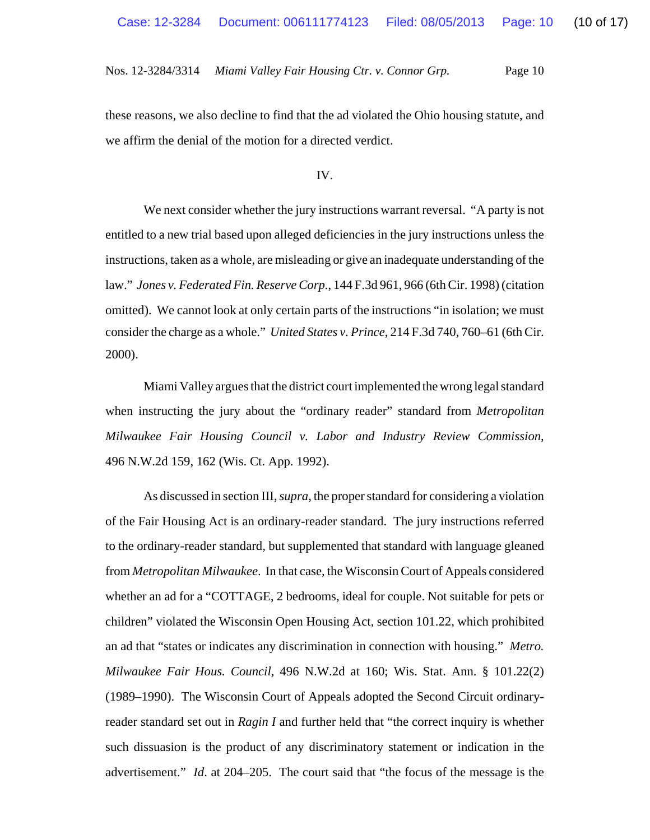these reasons, we also decline to find that the ad violated the Ohio housing statute, and we affirm the denial of the motion for a directed verdict.

### IV.

We next consider whether the jury instructions warrant reversal. "A party is not entitled to a new trial based upon alleged deficiencies in the jury instructions unless the instructions, taken as a whole, are misleading or give an inadequate understanding of the law." *Jones v. Federated Fin. Reserve Corp.*, 144 F.3d 961, 966 (6th Cir. 1998) (citation omitted). We cannot look at only certain parts of the instructions "in isolation; we must consider the charge as a whole." *United States v. Prince*, 214 F.3d 740, 760–61 (6th Cir. 2000).

Miami Valley argues that the district court implemented the wrong legal standard when instructing the jury about the "ordinary reader" standard from *Metropolitan Milwaukee Fair Housing Council v. Labor and Industry Review Commission*, 496 N.W.2d 159, 162 (Wis. Ct. App. 1992).

As discussed in section III, *supra*, the proper standard for considering a violation of the Fair Housing Act is an ordinary-reader standard. The jury instructions referred to the ordinary-reader standard, but supplemented that standard with language gleaned from *Metropolitan Milwaukee*. In that case, the Wisconsin Court of Appeals considered whether an ad for a "COTTAGE, 2 bedrooms, ideal for couple. Not suitable for pets or children" violated the Wisconsin Open Housing Act, section 101.22, which prohibited an ad that "states or indicates any discrimination in connection with housing." *Metro. Milwaukee Fair Hous. Council,* 496 N.W.2d at 160; Wis. Stat. Ann. § 101.22(2) (1989–1990). The Wisconsin Court of Appeals adopted the Second Circuit ordinaryreader standard set out in *Ragin I* and further held that "the correct inquiry is whether such dissuasion is the product of any discriminatory statement or indication in the advertisement." *Id*. at 204–205. The court said that "the focus of the message is the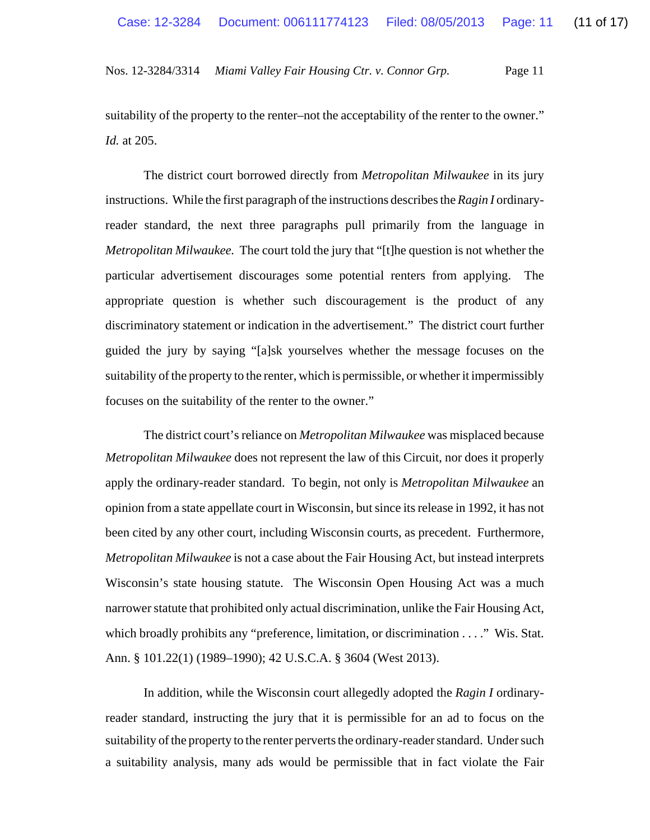suitability of the property to the renter–not the acceptability of the renter to the owner." *Id.* at 205.

The district court borrowed directly from *Metropolitan Milwaukee* in its jury instructions. While the first paragraph of the instructions describes the *Ragin I* ordinaryreader standard, the next three paragraphs pull primarily from the language in *Metropolitan Milwaukee.* The court told the jury that "[t]he question is not whether the particular advertisement discourages some potential renters from applying. The appropriate question is whether such discouragement is the product of any discriminatory statement or indication in the advertisement." The district court further guided the jury by saying "[a]sk yourselves whether the message focuses on the suitability of the property to the renter, which is permissible, or whether it impermissibly focuses on the suitability of the renter to the owner."

The district court's reliance on *Metropolitan Milwaukee* was misplaced because *Metropolitan Milwaukee* does not represent the law of this Circuit, nor does it properly apply the ordinary-reader standard. To begin, not only is *Metropolitan Milwaukee* an opinion from a state appellate court in Wisconsin, but since its release in 1992, it has not been cited by any other court, including Wisconsin courts, as precedent. Furthermore, *Metropolitan Milwaukee* is not a case about the Fair Housing Act, but instead interprets Wisconsin's state housing statute. The Wisconsin Open Housing Act was a much narrower statute that prohibited only actual discrimination, unlike the Fair Housing Act, which broadly prohibits any "preference, limitation, or discrimination . . . . " Wis. Stat. Ann. § 101.22(1) (1989–1990); 42 U.S.C.A. § 3604 (West 2013).

In addition, while the Wisconsin court allegedly adopted the *Ragin I* ordinaryreader standard, instructing the jury that it is permissible for an ad to focus on the suitability of the property to the renter perverts the ordinary-reader standard. Under such a suitability analysis, many ads would be permissible that in fact violate the Fair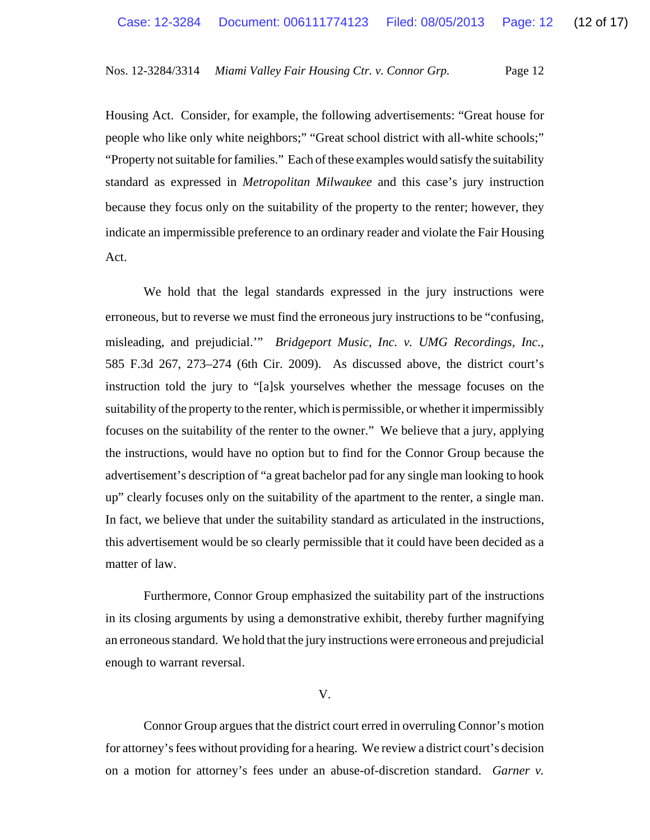Housing Act. Consider, for example, the following advertisements: "Great house for people who like only white neighbors;" "Great school district with all-white schools;" "Property not suitable for families." Each of these examples would satisfy the suitability standard as expressed in *Metropolitan Milwaukee* and this case's jury instruction because they focus only on the suitability of the property to the renter; however, they indicate an impermissible preference to an ordinary reader and violate the Fair Housing Act.

We hold that the legal standards expressed in the jury instructions were erroneous, but to reverse we must find the erroneous jury instructions to be "confusing, misleading, and prejudicial.'" *Bridgeport Music, Inc. v. UMG Recordings, Inc.*, 585 F.3d 267, 273–274 (6th Cir. 2009). As discussed above, the district court's instruction told the jury to "[a]sk yourselves whether the message focuses on the suitability of the property to the renter, which is permissible, or whether it impermissibly focuses on the suitability of the renter to the owner." We believe that a jury, applying the instructions, would have no option but to find for the Connor Group because the advertisement's description of "a great bachelor pad for any single man looking to hook up" clearly focuses only on the suitability of the apartment to the renter, a single man. In fact, we believe that under the suitability standard as articulated in the instructions, this advertisement would be so clearly permissible that it could have been decided as a matter of law.

Furthermore, Connor Group emphasized the suitability part of the instructions in its closing arguments by using a demonstrative exhibit, thereby further magnifying an erroneous standard. We hold that the jury instructions were erroneous and prejudicial enough to warrant reversal.

### V.

Connor Group argues that the district court erred in overruling Connor's motion for attorney's fees without providing for a hearing. We review a district court's decision on a motion for attorney's fees under an abuse-of-discretion standard. *Garner v.*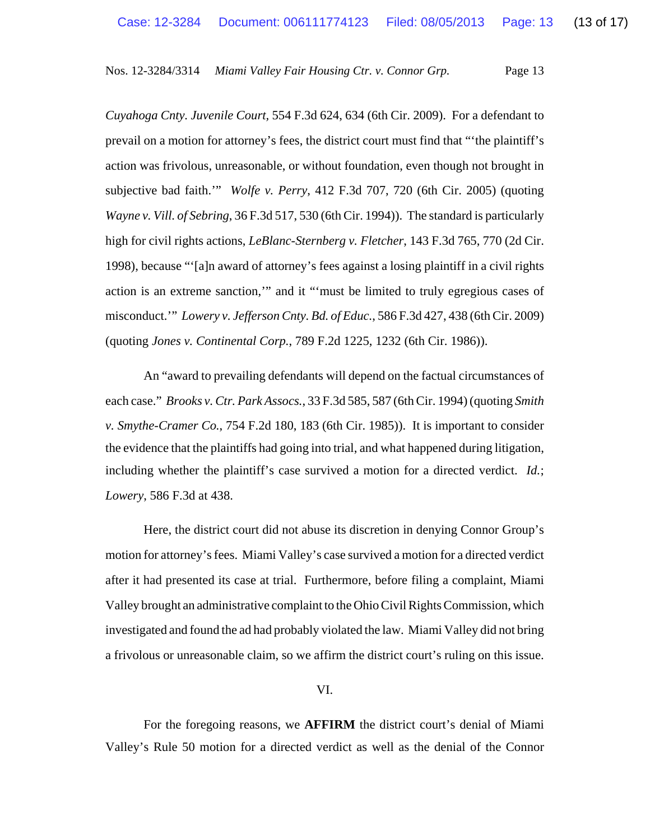*Cuyahoga Cnty. Juvenile Court,* 554 F.3d 624, 634 (6th Cir. 2009). For a defendant to prevail on a motion for attorney's fees, the district court must find that "'the plaintiff's action was frivolous, unreasonable, or without foundation, even though not brought in subjective bad faith.'" *Wolfe v. Perry*, 412 F.3d 707, 720 (6th Cir. 2005) (quoting *Wayne v. Vill. of Sebring*, 36 F.3d 517, 530 (6th Cir. 1994)). The standard is particularly high for civil rights actions, *LeBlanc-Sternberg v. Fletcher*, 143 F.3d 765, 770 (2d Cir. 1998), because "'[a]n award of attorney's fees against a losing plaintiff in a civil rights action is an extreme sanction,'" and it "'must be limited to truly egregious cases of misconduct.'" *Lowery v. Jefferson Cnty. Bd. of Educ.*, 586 F.3d 427, 438 (6th Cir. 2009) (quoting *Jones v. Continental Corp.*, 789 F.2d 1225, 1232 (6th Cir. 1986)).

An "award to prevailing defendants will depend on the factual circumstances of each case." *Brooks v. Ctr. Park Assocs.*, 33 F.3d 585, 587 (6th Cir. 1994) (quoting *Smith v. Smythe-Cramer Co.*, 754 F.2d 180, 183 (6th Cir. 1985)). It is important to consider the evidence that the plaintiffs had going into trial, and what happened during litigation, including whether the plaintiff's case survived a motion for a directed verdict. *Id.*; *Lowery*, 586 F.3d at 438.

Here, the district court did not abuse its discretion in denying Connor Group's motion for attorney's fees. Miami Valley's case survived a motion for a directed verdict after it had presented its case at trial. Furthermore, before filing a complaint, Miami Valley brought an administrative complaint to the Ohio Civil Rights Commission, which investigated and found the ad had probably violated the law. Miami Valley did not bring a frivolous or unreasonable claim, so we affirm the district court's ruling on this issue.

### VI.

For the foregoing reasons, we **AFFIRM** the district court's denial of Miami Valley's Rule 50 motion for a directed verdict as well as the denial of the Connor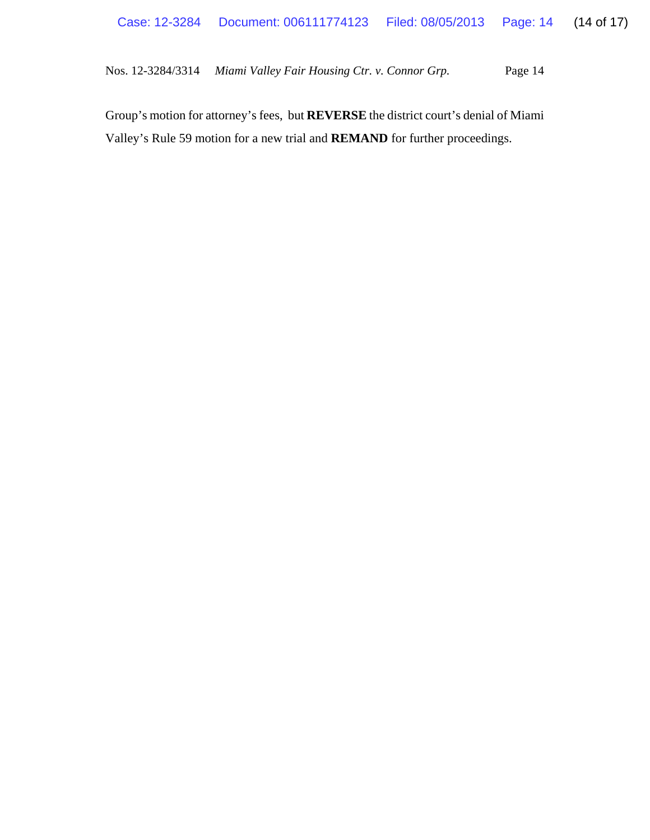Group's motion for attorney's fees, but **REVERSE** the district court's denial of Miami Valley's Rule 59 motion for a new trial and **REMAND** for further proceedings.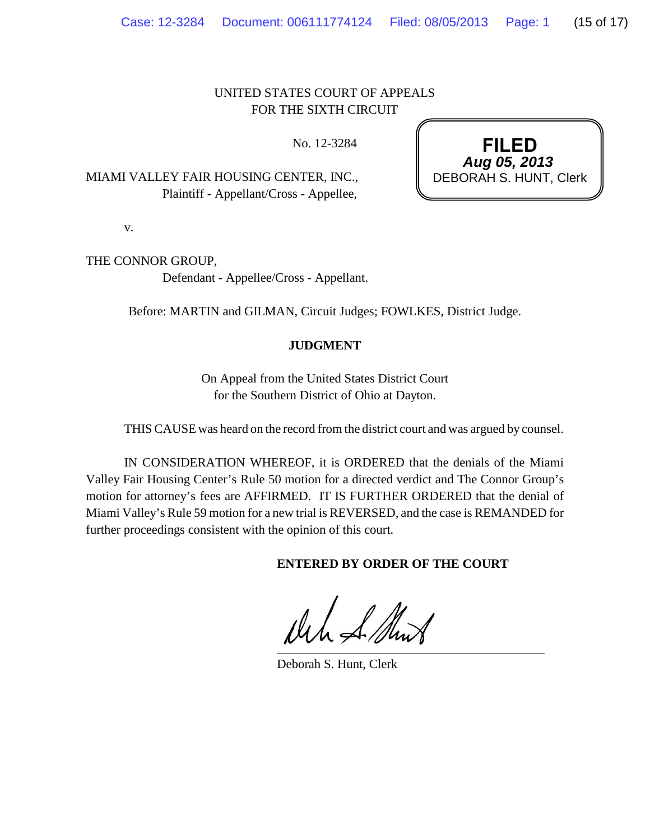# UNITED STATES COURT OF APPEALS FOR THE SIXTH CIRCUIT

No. 12-3284

MIAMI VALLEY FAIR HOUSING CENTER, INC., Plaintiff - Appellant/Cross - Appellee,

v.

THE CONNOR GROUP,

Defendant - Appellee/Cross - Appellant.

Before: MARTIN and GILMAN, Circuit Judges; FOWLKES, District Judge.

# **JUDGMENT**

On Appeal from the United States District Court for the Southern District of Ohio at Dayton.

THIS CAUSE was heard on the record from the district court and was argued by counsel.

IN CONSIDERATION WHEREOF, it is ORDERED that the denials of the Miami Valley Fair Housing Center's Rule 50 motion for a directed verdict and The Connor Group's motion for attorney's fees are AFFIRMED. IT IS FURTHER ORDERED that the denial of Miami Valley's Rule 59 motion for a new trial is REVERSED, and the case is REMANDED for further proceedings consistent with the opinion of this court.

**ENTERED BY ORDER OF THE COURT**

Which A Show

Deborah S. Hunt, Clerk

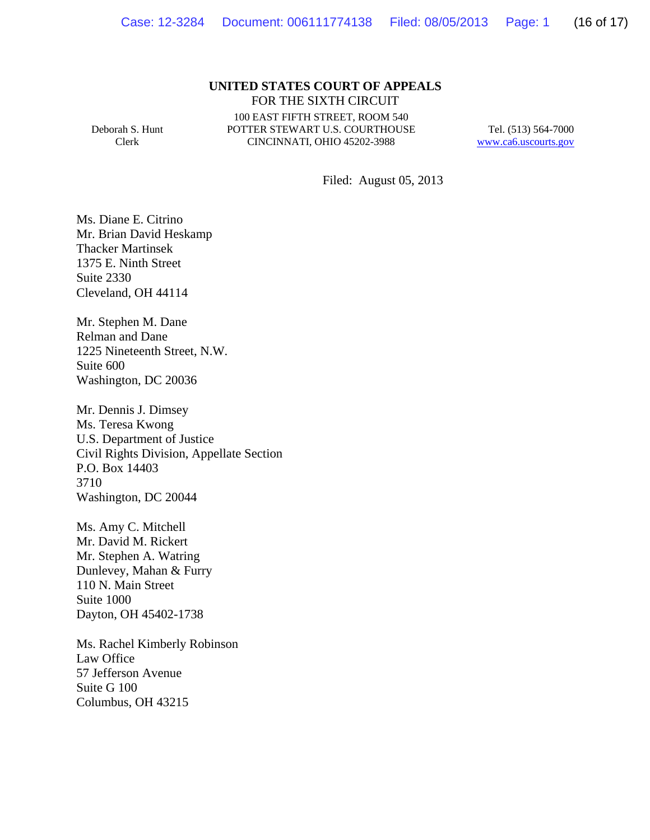#### **UNITED STATES COURT OF APPEALS** FOR THE SIXTH CIRCUIT

Deborah S. Hunt Clerk

100 EAST FIFTH STREET, ROOM 540 POTTER STEWART U.S. COURTHOUSE CINCINNATI, OHIO 45202-3988

Tel. (513) 564-7000 www.ca6.uscourts.gov

Filed: August 05, 2013

Ms. Diane E. Citrino Mr. Brian David Heskamp Thacker Martinsek 1375 E. Ninth Street Suite 2330 Cleveland, OH 44114

Mr. Stephen M. Dane Relman and Dane 1225 Nineteenth Street, N.W. Suite 600 Washington, DC 20036

Mr. Dennis J. Dimsey Ms. Teresa Kwong U.S. Department of Justice Civil Rights Division, Appellate Section P.O. Box 14403 3710 Washington, DC 20044

Ms. Amy C. Mitchell Mr. David M. Rickert Mr. Stephen A. Watring Dunlevey, Mahan & Furry 110 N. Main Street Suite 1000 Dayton, OH 45402-1738

Ms. Rachel Kimberly Robinson Law Office 57 Jefferson Avenue Suite G 100 Columbus, OH 43215